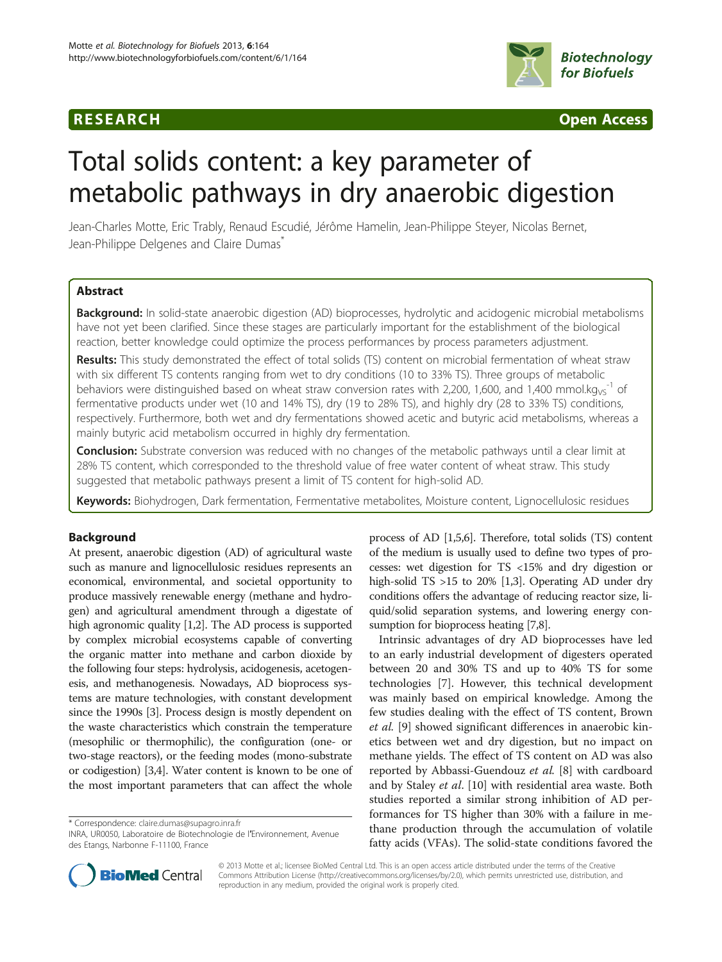



# Total solids content: a key parameter of metabolic pathways in dry anaerobic digestion

Jean-Charles Motte, Eric Trably, Renaud Escudié, Jérôme Hamelin, Jean-Philippe Steyer, Nicolas Bernet, Jean-Philippe Delgenes and Claire Dumas<sup>\*</sup>

# Abstract

Background: In solid-state anaerobic digestion (AD) bioprocesses, hydrolytic and acidogenic microbial metabolisms have not yet been clarified. Since these stages are particularly important for the establishment of the biological reaction, better knowledge could optimize the process performances by process parameters adjustment.

Results: This study demonstrated the effect of total solids (TS) content on microbial fermentation of wheat straw with six different TS contents ranging from wet to dry conditions (10 to 33% TS). Three groups of metabolic behaviors were distinguished based on wheat straw conversion rates with 2,200, 1,600, and 1,400 mmol.kg<sub>Vs</sub><sup>-1</sup> of fermentative products under wet (10 and 14% TS), dry (19 to 28% TS), and highly dry (28 to 33% TS) conditions, respectively. Furthermore, both wet and dry fermentations showed acetic and butyric acid metabolisms, whereas a mainly butyric acid metabolism occurred in highly dry fermentation.

**Conclusion:** Substrate conversion was reduced with no changes of the metabolic pathways until a clear limit at 28% TS content, which corresponded to the threshold value of free water content of wheat straw. This study suggested that metabolic pathways present a limit of TS content for high-solid AD.

Keywords: Biohydrogen, Dark fermentation, Fermentative metabolites, Moisture content, Lignocellulosic residues

# Background

At present, anaerobic digestion (AD) of agricultural waste such as manure and lignocellulosic residues represents an economical, environmental, and societal opportunity to produce massively renewable energy (methane and hydrogen) and agricultural amendment through a digestate of high agronomic quality [[1,2](#page-7-0)]. The AD process is supported by complex microbial ecosystems capable of converting the organic matter into methane and carbon dioxide by the following four steps: hydrolysis, acidogenesis, acetogenesis, and methanogenesis. Nowadays, AD bioprocess systems are mature technologies, with constant development since the 1990s [[3](#page-7-0)]. Process design is mostly dependent on the waste characteristics which constrain the temperature (mesophilic or thermophilic), the configuration (one- or two-stage reactors), or the feeding modes (mono-substrate or codigestion) [\[3,4\]](#page-7-0). Water content is known to be one of the most important parameters that can affect the whole

\* Correspondence: [claire.dumas@supagro.inra.fr](mailto:claire.dumas@supagro.inra.fr)



Intrinsic advantages of dry AD bioprocesses have led to an early industrial development of digesters operated between 20 and 30% TS and up to 40% TS for some technologies [\[7](#page-7-0)]. However, this technical development was mainly based on empirical knowledge. Among the few studies dealing with the effect of TS content, Brown et al. [[9](#page-7-0)] showed significant differences in anaerobic kinetics between wet and dry digestion, but no impact on methane yields. The effect of TS content on AD was also reported by Abbassi-Guendouz et al. [[8](#page-7-0)] with cardboard and by Staley *et al.* [\[10\]](#page-8-0) with residential area waste. Both studies reported a similar strong inhibition of AD performances for TS higher than 30% with a failure in methane production through the accumulation of volatile fatty acids (VFAs). The solid-state conditions favored the



© 2013 Motte et al.; licensee BioMed Central Ltd. This is an open access article distributed under the terms of the Creative Commons Attribution License [\(http://creativecommons.org/licenses/by/2.0\)](http://creativecommons.org/licenses/by/2.0), which permits unrestricted use, distribution, and reproduction in any medium, provided the original work is properly cited.

INRA, UR0050, Laboratoire de Biotechnologie de l′Environnement, Avenue des Etangs, Narbonne F-11100, France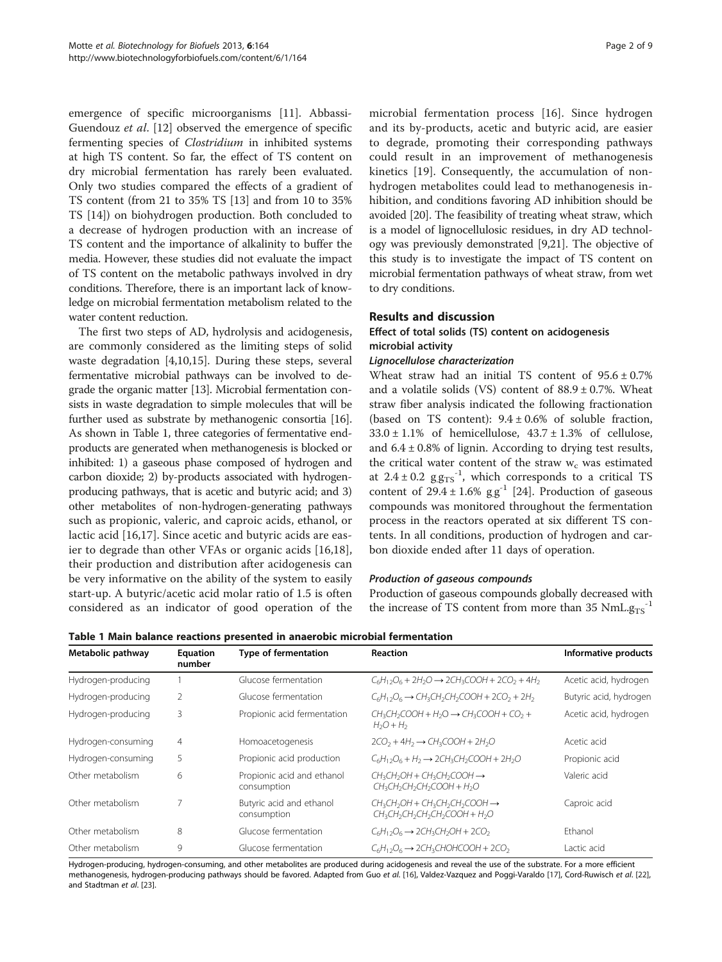emergence of specific microorganisms [[11](#page-8-0)]. Abbassi-Guendouz et al. [[12](#page-8-0)] observed the emergence of specific fermenting species of Clostridium in inhibited systems at high TS content. So far, the effect of TS content on dry microbial fermentation has rarely been evaluated. Only two studies compared the effects of a gradient of TS content (from 21 to 35% TS [[13\]](#page-8-0) and from 10 to 35% TS [[14\]](#page-8-0)) on biohydrogen production. Both concluded to a decrease of hydrogen production with an increase of TS content and the importance of alkalinity to buffer the media. However, these studies did not evaluate the impact of TS content on the metabolic pathways involved in dry conditions. Therefore, there is an important lack of knowledge on microbial fermentation metabolism related to the water content reduction.

The first two steps of AD, hydrolysis and acidogenesis, are commonly considered as the limiting steps of solid waste degradation [\[4](#page-7-0)[,10,15](#page-8-0)]. During these steps, several fermentative microbial pathways can be involved to degrade the organic matter [\[13\]](#page-8-0). Microbial fermentation consists in waste degradation to simple molecules that will be further used as substrate by methanogenic consortia [\[16](#page-8-0)]. As shown in Table 1, three categories of fermentative endproducts are generated when methanogenesis is blocked or inhibited: 1) a gaseous phase composed of hydrogen and carbon dioxide; 2) by-products associated with hydrogenproducing pathways, that is acetic and butyric acid; and 3) other metabolites of non-hydrogen-generating pathways such as propionic, valeric, and caproic acids, ethanol, or lactic acid [[16,17](#page-8-0)]. Since acetic and butyric acids are easier to degrade than other VFAs or organic acids [[16,18](#page-8-0)], their production and distribution after acidogenesis can be very informative on the ability of the system to easily start-up. A butyric/acetic acid molar ratio of 1.5 is often considered as an indicator of good operation of the

microbial fermentation process [[16](#page-8-0)]. Since hydrogen and its by-products, acetic and butyric acid, are easier to degrade, promoting their corresponding pathways could result in an improvement of methanogenesis kinetics [\[19](#page-8-0)]. Consequently, the accumulation of nonhydrogen metabolites could lead to methanogenesis inhibition, and conditions favoring AD inhibition should be avoided [\[20\]](#page-8-0). The feasibility of treating wheat straw, which is a model of lignocellulosic residues, in dry AD technology was previously demonstrated [[9,](#page-7-0)[21](#page-8-0)]. The objective of this study is to investigate the impact of TS content on microbial fermentation pathways of wheat straw, from wet to dry conditions.

#### Results and discussion

# Effect of total solids (TS) content on acidogenesis microbial activity

#### Lignocellulose characterization

Wheat straw had an initial TS content of  $95.6 \pm 0.7\%$ and a volatile solids (VS) content of  $88.9 \pm 0.7$ %. Wheat straw fiber analysis indicated the following fractionation (based on TS content):  $9.4 \pm 0.6\%$  of soluble fraction,  $33.0 \pm 1.1\%$  of hemicellulose,  $43.7 \pm 1.3\%$  of cellulose, and  $6.4 \pm 0.8\%$  of lignin. According to drying test results, the critical water content of the straw  $w_c$  was estimated at  $2.4 \pm 0.2$   $g_{\text{STS}}^{-1}$ , which corresponds to a critical TS content of  $29.4 \pm 1.6\%$   $gg^{-1}$  [\[24\]](#page-8-0). Production of gaseous compounds was monitored throughout the fermentation process in the reactors operated at six different TS contents. In all conditions, production of hydrogen and carbon dioxide ended after 11 days of operation.

#### Production of gaseous compounds

Production of gaseous compounds globally decreased with the increase of TS content from more than 35  $NmL.g<sub>TS</sub><sup>-1</sup>$ 

Table 1 Main balance reactions presented in anaerobic microbial fermentation

| Metabolic pathway  | <b>Equation</b><br>number | <b>Type of fermentation</b>               | <b>Reaction</b>                                                                                               | Informative products<br>Acetic acid, hydrogen |  |
|--------------------|---------------------------|-------------------------------------------|---------------------------------------------------------------------------------------------------------------|-----------------------------------------------|--|
| Hydrogen-producing |                           | Glucose fermentation                      | $C_6H_1$ , $O_6$ + 2H <sub>2</sub> O $\rightarrow$ 2CH <sub>3</sub> COOH + 2CO <sub>2</sub> + 4H <sub>2</sub> |                                               |  |
| Hydrogen-producing | $\overline{2}$            | Glucose fermentation                      | $C_6H_{12}O_6 \rightarrow CH_3CH_2CH_2COOH + 2CO_2 + 2H_2$                                                    | Butyric acid, hydrogen                        |  |
| Hydrogen-producing | 3                         | Propionic acid fermentation               | $CH_3CH_2COOH + H_2O \rightarrow CH_3COOH + CO_2 +$<br>$H_2O+H_2$                                             | Acetic acid, hydrogen                         |  |
| Hydrogen-consuming | $\overline{4}$            | Homoacetogenesis                          | $2CO2 + 4H2 \rightarrow CH3COOH + 2H2O$                                                                       | Acetic acid                                   |  |
| Hydrogen-consuming | 5                         | Propionic acid production                 | $C_6H_{12}O_6 + H_2 \rightarrow 2CH_3CH_2COOH + 2H_2O$                                                        | Propionic acid                                |  |
| Other metabolism   | 6                         | Propionic acid and ethanol<br>consumption | $CH_3CH_2OH + CH_3CH_2COOH \rightarrow$<br>$CH_3CH_2CH_2CH_2COOH + H_2O$                                      | Valeric acid                                  |  |
| Other metabolism   | 7                         | Butyric acid and ethanol<br>consumption   | $CH_3CH_2OH + CH_3CH_2CH_2COOH \rightarrow$<br>CH3CH3CH3CH3CH3COOH + H3O                                      | Caproic acid                                  |  |
| Other metabolism   | 8                         | Glucose fermentation                      | $C_6H_1$ <sub>2</sub> O <sub>6</sub> $\rightarrow$ 2CH <sub>3</sub> CH <sub>2</sub> OH + 2CO <sub>2</sub>     | Ethanol                                       |  |
| Other metabolism   | 9                         | Glucose fermentation                      | $C_6H_1$ <sub>2</sub> $O_6 \rightarrow$ 2CH <sub>3</sub> CHOHCOOH + 2CO <sub>2</sub>                          | Lactic acid                                   |  |

Hydrogen-producing, hydrogen-consuming, and other metabolites are produced during acidogenesis and reveal the use of the substrate. For a more efficient methanogenesis, hydrogen-producing pathways should be favored. Adapted from Guo et al. [\[16\]](#page-8-0), Valdez-Vazquez and Poggi-Varaldo [[17\]](#page-8-0), Cord-Ruwisch et al. [[22\]](#page-8-0), and Stadtman et al. [\[23\]](#page-8-0).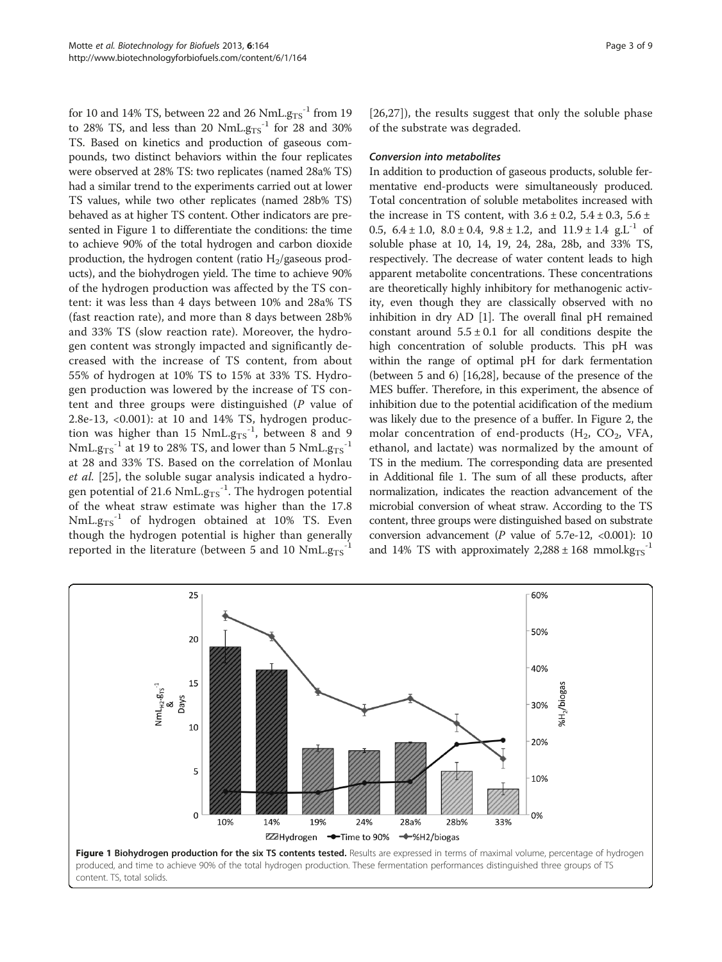for 10 and 14% TS, between 22 and 26  $NmL.g_{TS}^{-1}$  from 19 to 28% TS, and less than 20  $NmL.g. \frac{3.13}{1.5}$  for 28 and 30% TS. Based on kinetics and production of gaseous compounds, two distinct behaviors within the four replicates were observed at 28% TS: two replicates (named 28a% TS) had a similar trend to the experiments carried out at lower TS values, while two other replicates (named 28b% TS) behaved as at higher TS content. Other indicators are presented in Figure 1 to differentiate the conditions: the time to achieve 90% of the total hydrogen and carbon dioxide production, the hydrogen content (ratio  $H_2$ /gaseous products), and the biohydrogen yield. The time to achieve 90% of the hydrogen production was affected by the TS content: it was less than 4 days between 10% and 28a% TS (fast reaction rate), and more than 8 days between 28b% and 33% TS (slow reaction rate). Moreover, the hydrogen content was strongly impacted and significantly decreased with the increase of TS content, from about 55% of hydrogen at 10% TS to 15% at 33% TS. Hydrogen production was lowered by the increase of TS content and three groups were distinguished (P value of 2.8e-13, <0.001): at 10 and 14% TS, hydrogen production was higher than 15  $NmL.g<sub>TS</sub><sup>-1</sup>$ , between 8 and 9  $NmL.g<sub>TS</sub><sup>-1</sup>$  at 19 to 28% TS, and lower than 5  $NmL.g<sub>TS</sub><sup>-1</sup>$ at 28 and 33% TS. Based on the correlation of Monlau et al. [[25\]](#page-8-0), the soluble sugar analysis indicated a hydrogen potential of 21.6 NmL. $g_{TS}^{-1}$ . The hydrogen potential of the wheat straw estimate was higher than the 17.8  $NmL.g<sub>TS</sub><sup>-1</sup>$  of hydrogen obtained at 10% TS. Even though the hydrogen potential is higher than generally reported in the literature (between 5 and 10  $NmL.g<sub>TS</sub><sup>-1</sup>$ 

[[26,27](#page-8-0)]), the results suggest that only the soluble phase of the substrate was degraded.

#### Conversion into metabolites

In addition to production of gaseous products, soluble fermentative end-products were simultaneously produced. Total concentration of soluble metabolites increased with the increase in TS content, with  $3.6 \pm 0.2$ ,  $5.4 \pm 0.3$ ,  $5.6 \pm 1.5$ 0.5,  $6.4 \pm 1.0$ ,  $8.0 \pm 0.4$ ,  $9.8 \pm 1.2$ , and  $11.9 \pm 1.4$  g.L<sup>-1</sup> of soluble phase at 10, 14, 19, 24, 28a, 28b, and 33% TS, respectively. The decrease of water content leads to high apparent metabolite concentrations. These concentrations are theoretically highly inhibitory for methanogenic activity, even though they are classically observed with no inhibition in dry AD [\[1\]](#page-7-0). The overall final pH remained constant around  $5.5 \pm 0.1$  for all conditions despite the high concentration of soluble products. This pH was within the range of optimal pH for dark fermentation (between 5 and 6) [[16,28](#page-8-0)], because of the presence of the MES buffer. Therefore, in this experiment, the absence of inhibition due to the potential acidification of the medium was likely due to the presence of a buffer. In Figure [2,](#page-3-0) the molar concentration of end-products ( $H_2$ , CO<sub>2</sub>, VFA, ethanol, and lactate) was normalized by the amount of TS in the medium. The corresponding data are presented in Additional file [1.](#page-7-0) The sum of all these products, after normalization, indicates the reaction advancement of the microbial conversion of wheat straw. According to the TS content, three groups were distinguished based on substrate conversion advancement (P value of  $5.7e-12$ , <0.001): 10 and 14% TS with approximately  $2,288 \pm 168$  mmol.kg<sub>TS</sub><sup>-1</sup>

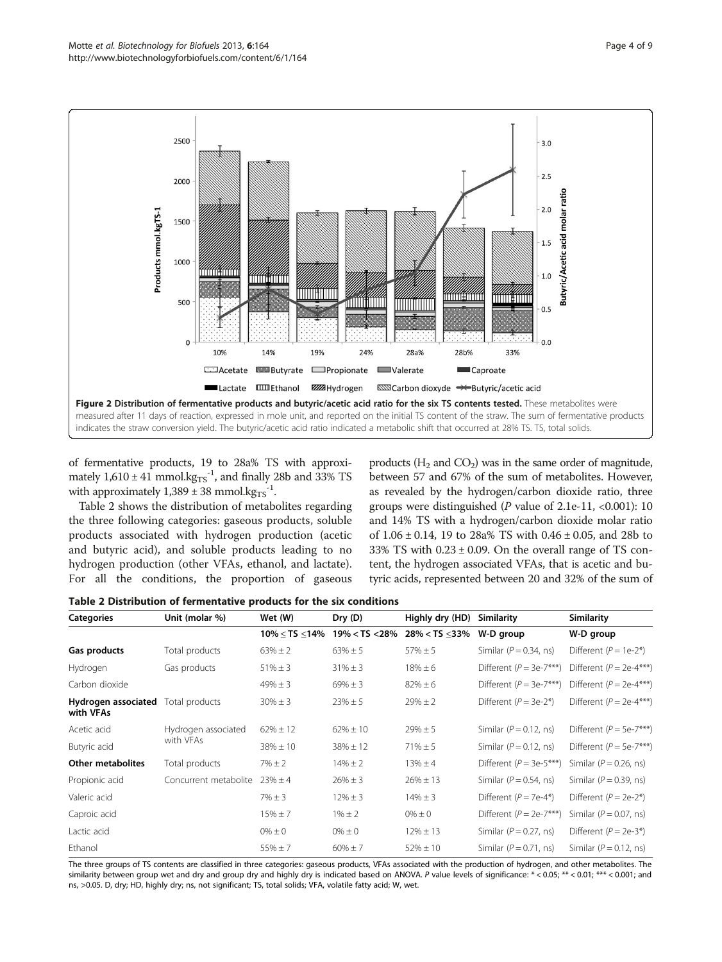<span id="page-3-0"></span>

of fermentative products, 19 to 28a% TS with approximately  $1,610 \pm 41$  mmol.kg<sub>TS</sub><sup>-1</sup>, and finally 28b and 33% TS with approximately  $1,389 \pm 38$  mmol.kg<sub>TS</sub><sup>-1</sup>.

Table 2 shows the distribution of metabolites regarding the three following categories: gaseous products, soluble products associated with hydrogen production (acetic and butyric acid), and soluble products leading to no hydrogen production (other VFAs, ethanol, and lactate). For all the conditions, the proportion of gaseous

products ( $H_2$  and  $CO_2$ ) was in the same order of magnitude, between 57 and 67% of the sum of metabolites. However, as revealed by the hydrogen/carbon dioxide ratio, three groups were distinguished ( $P$  value of 2.1e-11, <0.001): 10 and 14% TS with a hydrogen/carbon dioxide molar ratio of  $1.06 \pm 0.14$ , 19 to 28a% TS with  $0.46 \pm 0.05$ , and 28b to 33% TS with  $0.23 \pm 0.09$ . On the overall range of TS content, the hydrogen associated VFAs, that is acetic and butyric acids, represented between 20 and 32% of the sum of

Table 2 Distribution of fermentative products for the six conditions

| <b>Categories</b>                | Unit (molar %)        | Wet (W)                  | Dry(D)              | Highly dry (HD)        | <b>Similarity</b>           | <b>Similarity</b>           |
|----------------------------------|-----------------------|--------------------------|---------------------|------------------------|-----------------------------|-----------------------------|
|                                  |                       | $10\% \leq TS \leq 14\%$ | $19\% <$ TS $<$ 28% | $28\% <$ TS $\leq$ 33% | W-D group                   | W-D group                   |
| Gas products                     | Total products        | $63\% \pm 2$             | $63\% \pm 5$        | $57\% \pm 5$           | Similar ( $P = 0.34$ , ns)  | Different $(P = 1e-2^*)$    |
| Hydrogen                         | Gas products          | $51\% \pm 3$             | $31\% \pm 3$        | $18\% \pm 6$           | Different $(P = 3e-7***$    | Different $(P = 2e-4***)$   |
| Carbon dioxide                   |                       | $49\% \pm 3$             | $69\% \pm 3$        | $82\% \pm 6$           | Different $(P = 3e-7***$    | Different $(P = 2e-4***)$   |
| Hydrogen associated<br>with VFAs | Total products        | $30\% \pm 3$             | $23\% \pm 5$        | $29\% \pm 2$           | Different $(P = 3e-2^*)$    | Different $(P = 2e-4***)$   |
| Acetic acid                      | Hydrogen associated   | $62\% + 12$              | $62\% \pm 10$       | $29\% \pm 5$           | Similar ( $P = 0.12$ , ns)  | Different ( $P = 5e-7***$ ) |
| Butyric acid                     | with VFAs             | $38\% \pm 10$            | $38\% \pm 12$       | $71\% \pm 5$           | Similar ( $P = 0.12$ , ns)  | Different ( $P = 5e-7***$ ) |
| <b>Other metabolites</b>         | Total products        | $7\% \pm 2$              | $14\% \pm 2$        | $13% \pm 4$            | Different ( $P = 3e-5***$ ) | Similar ( $P = 0.26$ , ns)  |
| Propionic acid                   | Concurrent metabolite | $23% \pm 4$              | $26\% \pm 3$        | $26\% \pm 13$          | Similar ( $P = 0.54$ , ns)  | Similar ( $P = 0.39$ , ns)  |
| Valeric acid                     |                       | $7\% \pm 3$              | $12\% \pm 3$        | $14\% \pm 3$           | Different $(P = 7e-4^*)$    | Different $(P = 2e-2^*)$    |
| Caproic acid                     |                       | $15% \pm 7$              | $1\% \pm 2$         | $0\% \pm 0$            | Different $(P = 2e-7***$    | Similar ( $P = 0.07$ , ns)  |
| Lactic acid                      |                       | $0\% \pm 0$              | $0\% \pm 0$         | $12\% \pm 13$          | Similar ( $P = 0.27$ , ns)  | Different $(P = 2e-3^*)$    |
| Ethanol                          |                       | $55% \pm 7$              | $60\% \pm 7$        | $52\% \pm 10$          | Similar ( $P = 0.71$ , ns)  | Similar ( $P = 0.12$ , ns)  |

The three groups of TS contents are classified in three categories: gaseous products, VFAs associated with the production of hydrogen, and other metabolites. The similarity between group wet and dry and group dry and highly dry is indicated based on ANOVA. P value levels of significance: \* < 0.05; \*\* < 0.01; \*\*\* < 0.001; and ns, >0.05. D, dry; HD, highly dry; ns, not significant; TS, total solids; VFA, volatile fatty acid; W, wet.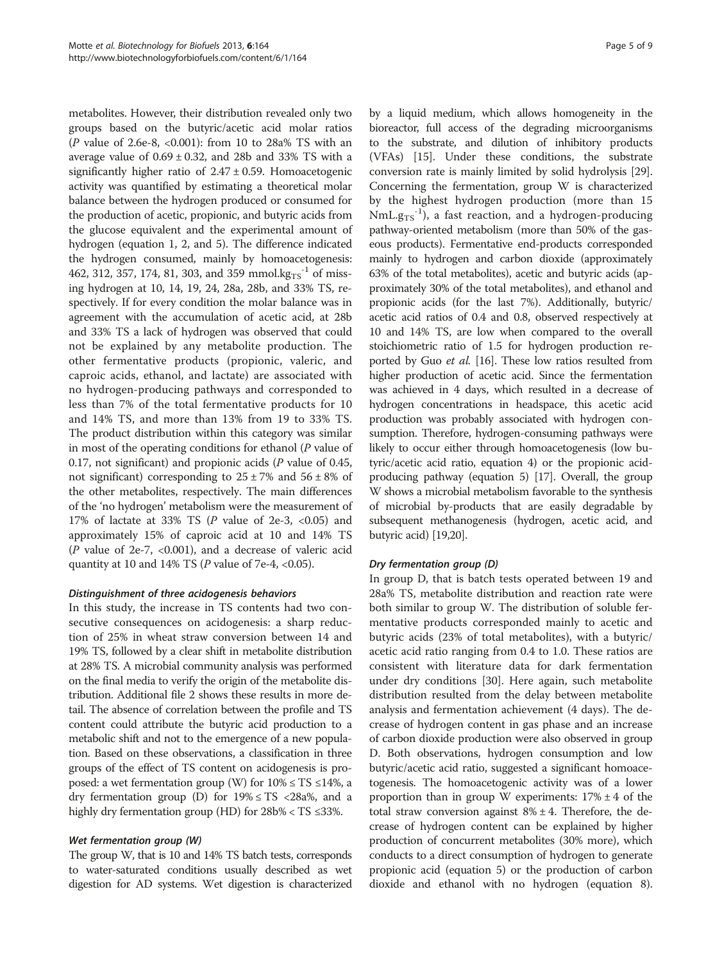metabolites. However, their distribution revealed only two groups based on the butyric/acetic acid molar ratios (P value of 2.6e-8, <0.001): from 10 to 28a% TS with an average value of  $0.69 \pm 0.32$ , and 28b and 33% TS with a significantly higher ratio of  $2.47 \pm 0.59$ . Homoacetogenic activity was quantified by estimating a theoretical molar balance between the hydrogen produced or consumed for the production of acetic, propionic, and butyric acids from the glucose equivalent and the experimental amount of hydrogen (equation 1, 2, and 5). The difference indicated the hydrogen consumed, mainly by homoacetogenesis: 462, 312, 357, 174, 81, 303, and 359 mmol.kg<sub>TS</sub><sup>-1</sup> of missing hydrogen at 10, 14, 19, 24, 28a, 28b, and 33% TS, respectively. If for every condition the molar balance was in agreement with the accumulation of acetic acid, at 28b and 33% TS a lack of hydrogen was observed that could not be explained by any metabolite production. The other fermentative products (propionic, valeric, and caproic acids, ethanol, and lactate) are associated with no hydrogen-producing pathways and corresponded to less than 7% of the total fermentative products for 10 and 14% TS, and more than 13% from 19 to 33% TS. The product distribution within this category was similar in most of the operating conditions for ethanol (P value of 0.17, not significant) and propionic acids  $(P$  value of 0.45, not significant) corresponding to  $25 \pm 7\%$  and  $56 \pm 8\%$  of the other metabolites, respectively. The main differences of the 'no hydrogen' metabolism were the measurement of 17% of lactate at 33% TS ( $P$  value of 2e-3, <0.05) and approximately 15% of caproic acid at 10 and 14% TS ( $P$  value of 2e-7, <0.001), and a decrease of valeric acid quantity at 10 and 14% TS ( $P$  value of 7e-4, <0.05).

# Distinguishment of three acidogenesis behaviors

In this study, the increase in TS contents had two consecutive consequences on acidogenesis: a sharp reduction of 25% in wheat straw conversion between 14 and 19% TS, followed by a clear shift in metabolite distribution at 28% TS. A microbial community analysis was performed on the final media to verify the origin of the metabolite distribution. Additional file [2](#page-7-0) shows these results in more detail. The absence of correlation between the profile and TS content could attribute the butyric acid production to a metabolic shift and not to the emergence of a new population. Based on these observations, a classification in three groups of the effect of TS content on acidogenesis is proposed: a wet fermentation group (W) for  $10\% \leq TS \leq 14\%$ , a dry fermentation group (D) for  $19\% \leq TS \leq 28a\%$ , and a highly dry fermentation group (HD) for 28b% < TS ≤33%.

# Wet fermentation group (W)

The group W, that is 10 and 14% TS batch tests, corresponds to water-saturated conditions usually described as wet digestion for AD systems. Wet digestion is characterized by a liquid medium, which allows homogeneity in the bioreactor, full access of the degrading microorganisms to the substrate, and dilution of inhibitory products (VFAs) [\[15\]](#page-8-0). Under these conditions, the substrate conversion rate is mainly limited by solid hydrolysis [[29](#page-8-0)]. Concerning the fermentation, group W is characterized by the highest hydrogen production (more than 15  $NmL.g<sub>TS</sub><sup>-1</sup>$ ), a fast reaction, and a hydrogen-producing pathway-oriented metabolism (more than 50% of the gaseous products). Fermentative end-products corresponded mainly to hydrogen and carbon dioxide (approximately 63% of the total metabolites), acetic and butyric acids (approximately 30% of the total metabolites), and ethanol and propionic acids (for the last 7%). Additionally, butyric/ acetic acid ratios of 0.4 and 0.8, observed respectively at 10 and 14% TS, are low when compared to the overall stoichiometric ratio of 1.5 for hydrogen production re-ported by Guo et al. [\[16\]](#page-8-0). These low ratios resulted from higher production of acetic acid. Since the fermentation was achieved in 4 days, which resulted in a decrease of hydrogen concentrations in headspace, this acetic acid production was probably associated with hydrogen consumption. Therefore, hydrogen-consuming pathways were likely to occur either through homoacetogenesis (low butyric/acetic acid ratio, equation 4) or the propionic acidproducing pathway (equation 5) [\[17](#page-8-0)]. Overall, the group W shows a microbial metabolism favorable to the synthesis of microbial by-products that are easily degradable by subsequent methanogenesis (hydrogen, acetic acid, and butyric acid) [[19,20\]](#page-8-0).

# Dry fermentation group (D)

In group D, that is batch tests operated between 19 and 28a% TS, metabolite distribution and reaction rate were both similar to group W. The distribution of soluble fermentative products corresponded mainly to acetic and butyric acids (23% of total metabolites), with a butyric/ acetic acid ratio ranging from 0.4 to 1.0. These ratios are consistent with literature data for dark fermentation under dry conditions [[30\]](#page-8-0). Here again, such metabolite distribution resulted from the delay between metabolite analysis and fermentation achievement (4 days). The decrease of hydrogen content in gas phase and an increase of carbon dioxide production were also observed in group D. Both observations, hydrogen consumption and low butyric/acetic acid ratio, suggested a significant homoacetogenesis. The homoacetogenic activity was of a lower proportion than in group W experiments:  $17\% \pm 4$  of the total straw conversion against  $8\% \pm 4$ . Therefore, the decrease of hydrogen content can be explained by higher production of concurrent metabolites (30% more), which conducts to a direct consumption of hydrogen to generate propionic acid (equation 5) or the production of carbon dioxide and ethanol with no hydrogen (equation 8).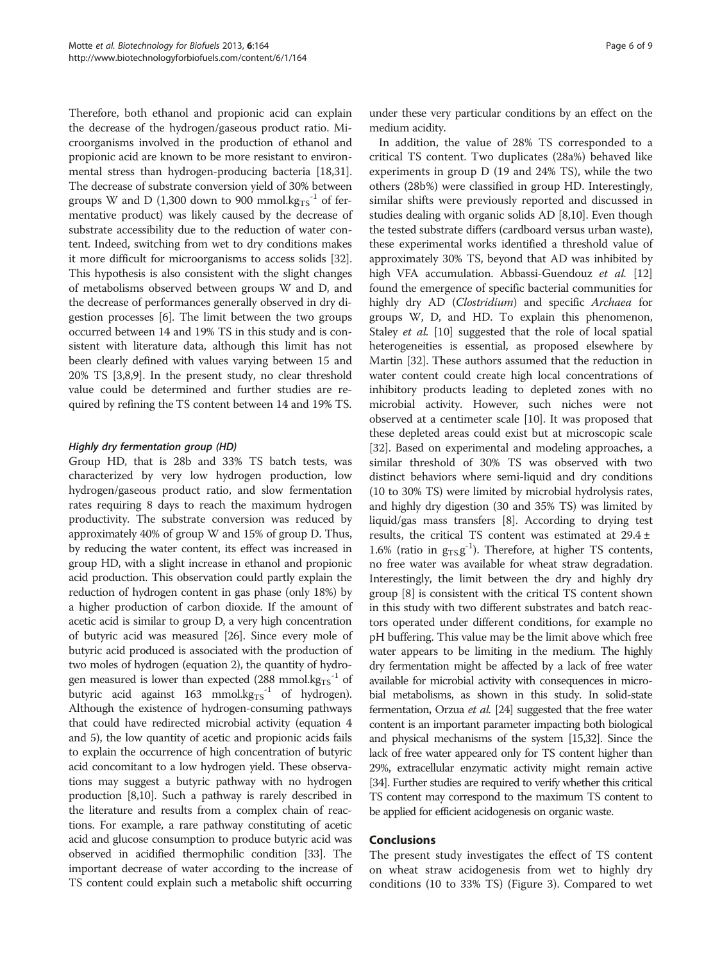Therefore, both ethanol and propionic acid can explain the decrease of the hydrogen/gaseous product ratio. Microorganisms involved in the production of ethanol and propionic acid are known to be more resistant to environmental stress than hydrogen-producing bacteria [\[18,31](#page-8-0)]. The decrease of substrate conversion yield of 30% between groups W and D (1,300 down to 900 mmol.kg $_{TS}^{-1}$  of fermentative product) was likely caused by the decrease of substrate accessibility due to the reduction of water content. Indeed, switching from wet to dry conditions makes it more difficult for microorganisms to access solids [[32](#page-8-0)]. This hypothesis is also consistent with the slight changes of metabolisms observed between groups W and D, and the decrease of performances generally observed in dry digestion processes [\[6\]](#page-7-0). The limit between the two groups occurred between 14 and 19% TS in this study and is consistent with literature data, although this limit has not been clearly defined with values varying between 15 and 20% TS [\[3,8,9\]](#page-7-0). In the present study, no clear threshold value could be determined and further studies are required by refining the TS content between 14 and 19% TS.

# Highly dry fermentation group (HD)

Group HD, that is 28b and 33% TS batch tests, was characterized by very low hydrogen production, low hydrogen/gaseous product ratio, and slow fermentation rates requiring 8 days to reach the maximum hydrogen productivity. The substrate conversion was reduced by approximately 40% of group W and 15% of group D. Thus, by reducing the water content, its effect was increased in group HD, with a slight increase in ethanol and propionic acid production. This observation could partly explain the reduction of hydrogen content in gas phase (only 18%) by a higher production of carbon dioxide. If the amount of acetic acid is similar to group D, a very high concentration of butyric acid was measured [\[26](#page-8-0)]. Since every mole of butyric acid produced is associated with the production of two moles of hydrogen (equation 2), the quantity of hydrogen measured is lower than expected (288 mmol.kg $_{TS}^{-1}$  of butyric acid against 163 mmol. $kg_{TS}^{-1}$  of hydrogen). Although the existence of hydrogen-consuming pathways that could have redirected microbial activity (equation 4 and 5), the low quantity of acetic and propionic acids fails to explain the occurrence of high concentration of butyric acid concomitant to a low hydrogen yield. These observations may suggest a butyric pathway with no hydrogen production [\[8,](#page-7-0)[10](#page-8-0)]. Such a pathway is rarely described in the literature and results from a complex chain of reactions. For example, a rare pathway constituting of acetic acid and glucose consumption to produce butyric acid was observed in acidified thermophilic condition [\[33\]](#page-8-0). The important decrease of water according to the increase of TS content could explain such a metabolic shift occurring

under these very particular conditions by an effect on the medium acidity.

In addition, the value of 28% TS corresponded to a critical TS content. Two duplicates (28a%) behaved like experiments in group D (19 and 24% TS), while the two others (28b%) were classified in group HD. Interestingly, similar shifts were previously reported and discussed in studies dealing with organic solids AD [[8,](#page-7-0)[10](#page-8-0)]. Even though the tested substrate differs (cardboard versus urban waste), these experimental works identified a threshold value of approximately 30% TS, beyond that AD was inhibited by high VFA accumulation. Abbassi-Guendouz et al. [[12](#page-8-0)] found the emergence of specific bacterial communities for highly dry AD (Clostridium) and specific Archaea for groups W, D, and HD. To explain this phenomenon, Staley *et al.* [\[10\]](#page-8-0) suggested that the role of local spatial heterogeneities is essential, as proposed elsewhere by Martin [[32](#page-8-0)]. These authors assumed that the reduction in water content could create high local concentrations of inhibitory products leading to depleted zones with no microbial activity. However, such niches were not observed at a centimeter scale [\[10\]](#page-8-0). It was proposed that these depleted areas could exist but at microscopic scale [[32](#page-8-0)]. Based on experimental and modeling approaches, a similar threshold of 30% TS was observed with two distinct behaviors where semi-liquid and dry conditions (10 to 30% TS) were limited by microbial hydrolysis rates, and highly dry digestion (30 and 35% TS) was limited by liquid/gas mass transfers [\[8](#page-7-0)]. According to drying test results, the critical TS content was estimated at 29.4 ± 1.6% (ratio in  $g_{TS}g^{-1}$ ). Therefore, at higher TS contents, no free water was available for wheat straw degradation. Interestingly, the limit between the dry and highly dry group [\[8](#page-7-0)] is consistent with the critical TS content shown in this study with two different substrates and batch reactors operated under different conditions, for example no pH buffering. This value may be the limit above which free water appears to be limiting in the medium. The highly dry fermentation might be affected by a lack of free water available for microbial activity with consequences in microbial metabolisms, as shown in this study. In solid-state fermentation, Orzua et al. [\[24\]](#page-8-0) suggested that the free water content is an important parameter impacting both biological and physical mechanisms of the system [\[15,32](#page-8-0)]. Since the lack of free water appeared only for TS content higher than 29%, extracellular enzymatic activity might remain active [[34\]](#page-8-0). Further studies are required to verify whether this critical TS content may correspond to the maximum TS content to be applied for efficient acidogenesis on organic waste.

#### Conclusions

The present study investigates the effect of TS content on wheat straw acidogenesis from wet to highly dry conditions (10 to 33% TS) (Figure [3](#page-6-0)). Compared to wet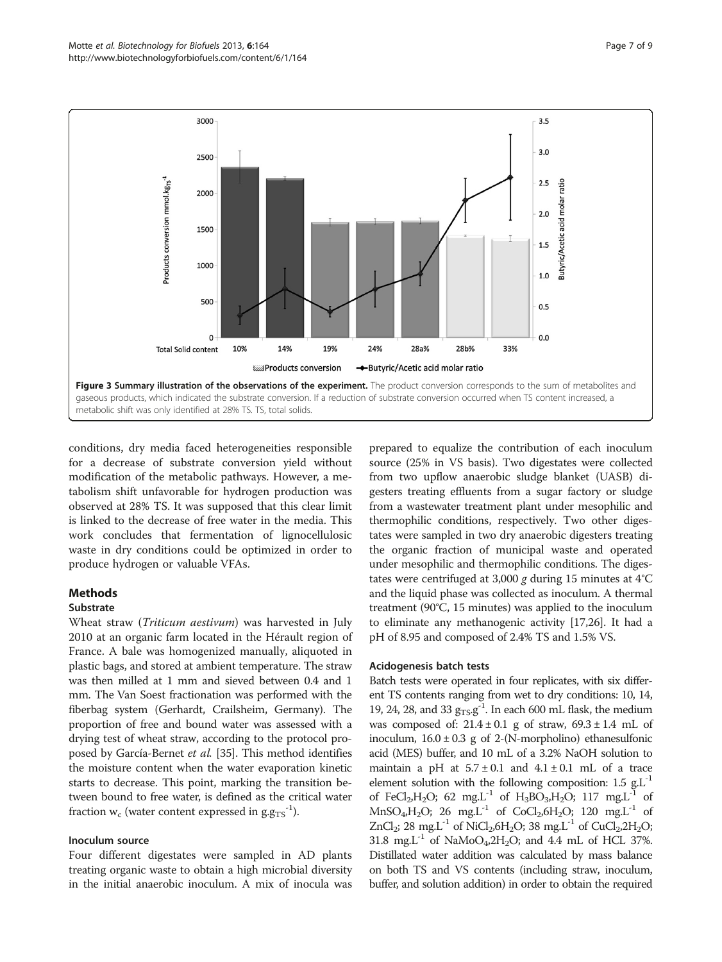<span id="page-6-0"></span>

conditions, dry media faced heterogeneities responsible for a decrease of substrate conversion yield without modification of the metabolic pathways. However, a metabolism shift unfavorable for hydrogen production was observed at 28% TS. It was supposed that this clear limit is linked to the decrease of free water in the media. This work concludes that fermentation of lignocellulosic waste in dry conditions could be optimized in order to produce hydrogen or valuable VFAs.

# Methods

#### **Substrate**

Wheat straw (Triticum aestivum) was harvested in July 2010 at an organic farm located in the Hérault region of France. A bale was homogenized manually, aliquoted in plastic bags, and stored at ambient temperature. The straw was then milled at 1 mm and sieved between 0.4 and 1 mm. The Van Soest fractionation was performed with the fiberbag system (Gerhardt, Crailsheim, Germany). The proportion of free and bound water was assessed with a drying test of wheat straw, according to the protocol proposed by García-Bernet et al. [\[35](#page-8-0)]. This method identifies the moisture content when the water evaporation kinetic starts to decrease. This point, marking the transition between bound to free water, is defined as the critical water fraction  $w_c$  (water content expressed in  $g_{\text{STS}}^{-1}$ ).

# Inoculum source

Four different digestates were sampled in AD plants treating organic waste to obtain a high microbial diversity in the initial anaerobic inoculum. A mix of inocula was

prepared to equalize the contribution of each inoculum source (25% in VS basis). Two digestates were collected from two upflow anaerobic sludge blanket (UASB) digesters treating effluents from a sugar factory or sludge from a wastewater treatment plant under mesophilic and thermophilic conditions, respectively. Two other digestates were sampled in two dry anaerobic digesters treating the organic fraction of municipal waste and operated under mesophilic and thermophilic conditions. The digestates were centrifuged at 3,000  $g$  during 15 minutes at 4°C and the liquid phase was collected as inoculum. A thermal treatment (90°C, 15 minutes) was applied to the inoculum to eliminate any methanogenic activity [[17,26\]](#page-8-0). It had a pH of 8.95 and composed of 2.4% TS and 1.5% VS.

#### Acidogenesis batch tests

Batch tests were operated in four replicates, with six different TS contents ranging from wet to dry conditions: 10, 14, 19, 24, 28, and 33  $g_{TS}g^{-1}$ . In each 600 mL flask, the medium was composed of:  $21.4 \pm 0.1$  g of straw,  $69.3 \pm 1.4$  mL of inoculum,  $16.0 \pm 0.3$  g of 2-(N-morpholino) ethanesulfonic acid (MES) buffer, and 10 mL of a 3.2% NaOH solution to maintain a pH at  $5.7 \pm 0.1$  and  $4.1 \pm 0.1$  mL of a trace element solution with the following composition:  $1.5 \text{ g.L}^{-1}$ of FeCl<sub>2</sub>,H<sub>2</sub>O; 62 mg,L<sup>-1</sup> of H<sub>3</sub>BO<sub>3</sub>,H<sub>2</sub>O; 117 mg,L<sup>-1</sup> of  $MnSO_4H_2O$ ; 26 mg.L<sup>-1</sup> of CoCl<sub>2</sub>,6H<sub>2</sub>O; 120 mg.L<sup>-1</sup> of  $ZnCl_2$ ; 28 mg.L<sup>-1</sup> of NiCl<sub>2</sub>,6H<sub>2</sub>O; 38 mg.L<sup>-1</sup> of CuCl<sub>2</sub>,2H<sub>2</sub>O;  $31.8 \text{ mg.L}^{-1}$  of NaMoO<sub>4</sub>,2H<sub>2</sub>O; and 4.4 mL of HCL 37%. Distillated water addition was calculated by mass balance on both TS and VS contents (including straw, inoculum, buffer, and solution addition) in order to obtain the required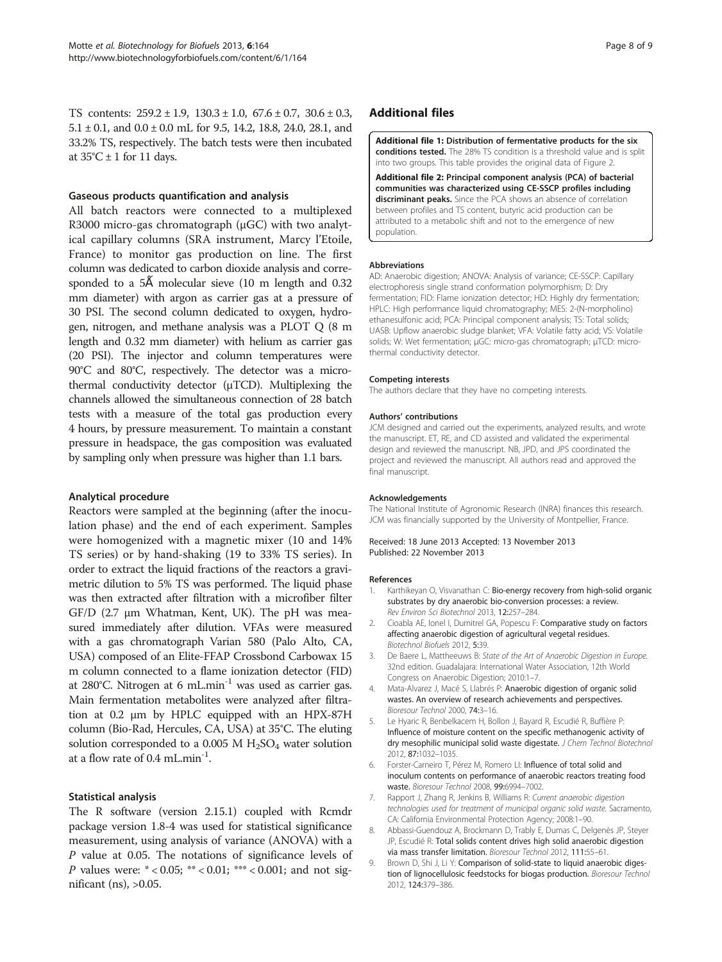<span id="page-7-0"></span>TS contents: 259.2 ± 1.9, 130.3 ± 1.0, 67.6 ± 0.7, 30.6 ± 0.3,  $5.1 \pm 0.1$ , and  $0.0 \pm 0.0$  mL for 9.5, 14.2, 18.8, 24.0, 28.1, and 33.2% TS, respectively. The batch tests were then incubated at  $35^{\circ}$ C ± 1 for 11 days.

#### Gaseous products quantification and analysis

All batch reactors were connected to a multiplexed R3000 micro-gas chromatograph (μGC) with two analytical capillary columns (SRA instrument, Marcy l'Etoile, France) to monitor gas production on line. The first column was dedicated to carbon dioxide analysis and corresponded to a 5Å molecular sieve (10 m length and 0.32 mm diameter) with argon as carrier gas at a pressure of 30 PSI. The second column dedicated to oxygen, hydrogen, nitrogen, and methane analysis was a PLOT Q (8 m length and 0.32 mm diameter) with helium as carrier gas (20 PSI). The injector and column temperatures were 90°C and 80°C, respectively. The detector was a microthermal conductivity detector (μTCD). Multiplexing the channels allowed the simultaneous connection of 28 batch tests with a measure of the total gas production every 4 hours, by pressure measurement. To maintain a constant pressure in headspace, the gas composition was evaluated by sampling only when pressure was higher than 1.1 bars.

#### Analytical procedure

Reactors were sampled at the beginning (after the inoculation phase) and the end of each experiment. Samples were homogenized with a magnetic mixer (10 and 14% TS series) or by hand-shaking (19 to 33% TS series). In order to extract the liquid fractions of the reactors a gravimetric dilution to 5% TS was performed. The liquid phase was then extracted after filtration with a microfiber filter GF/D (2.7 μm Whatman, Kent, UK). The pH was measured immediately after dilution. VFAs were measured with a gas chromatograph Varian 580 (Palo Alto, CA, USA) composed of an Elite-FFAP Crossbond Carbowax 15 m column connected to a flame ionization detector (FID) at 280°C. Nitrogen at 6 mL.min<sup>-1</sup> was used as carrier gas. Main fermentation metabolites were analyzed after filtration at 0.2 μm by HPLC equipped with an HPX-87H column (Bio-Rad, Hercules, CA, USA) at 35°C. The eluting solution corresponded to a 0.005 M  $H<sub>2</sub>SO<sub>4</sub>$  water solution at a flow rate of  $0.4$  mL.min<sup>-1</sup>.

#### Statistical analysis

The R software (version 2.15.1) coupled with Rcmdr package version 1.8-4 was used for statistical significance measurement, using analysis of variance (ANOVA) with a P value at 0.05. The notations of significance levels of P values were: \* < 0.05; \*\* < 0.01; \*\*\* < 0.001; and not significant (ns), >0.05.

# Additional files

[Additional file 1:](http://www.biomedcentral.com/content/supplementary/1754-6834-6-164-S1.pdf) Distribution of fermentative products for the six conditions tested. The 28% TS condition is a threshold value and is split into two groups. This table provides the original data of Figure [2](#page-3-0).

[Additional file 2:](http://www.biomedcentral.com/content/supplementary/1754-6834-6-164-S2.pdf) Principal component analysis (PCA) of bacterial communities was characterized using CE-SSCP profiles including discriminant peaks. Since the PCA shows an absence of correlation between profiles and TS content, butyric acid production can be attributed to a metabolic shift and not to the emergence of new population.

#### Abbreviations

AD: Anaerobic digestion; ANOVA: Analysis of variance; CE-SSCP: Capillary electrophoresis single strand conformation polymorphism; D: Dry fermentation; FID: Flame ionization detector; HD: Highly dry fermentation; HPLC: High performance liquid chromatography; MES: 2-(N-morpholino) ethanesulfonic acid; PCA: Principal component analysis; TS: Total solids; UASB: Upflow anaerobic sludge blanket; VFA: Volatile fatty acid; VS: Volatile solids; W: Wet fermentation; μGC: micro-gas chromatograph; μTCD: microthermal conductivity detector.

#### Competing interests

The authors declare that they have no competing interests.

#### Authors' contributions

JCM designed and carried out the experiments, analyzed results, and wrote the manuscript. ET, RE, and CD assisted and validated the experimental design and reviewed the manuscript. NB, JPD, and JPS coordinated the project and reviewed the manuscript. All authors read and approved the final manuscript.

#### Acknowledgements

The National Institute of Agronomic Research (INRA) finances this research. JCM was financially supported by the University of Montpellier, France.

#### Received: 18 June 2013 Accepted: 13 November 2013 Published: 22 November 2013

#### References

- 1. Karthikeyan O, Visvanathan C: Bio-energy recovery from high-solid organic substrates by dry anaerobic bio-conversion processes: a review. Rev Environ Sci Biotechnol 2013, 12:257–284.
- 2. Cioabla AE, Ionel I, Dumitrel GA, Popescu F: Comparative study on factors affecting anaerobic digestion of agricultural vegetal residues. Biotechnol Biofuels 2012, 5:39.
- 3. De Baere L, Mattheeuws B: State of the Art of Anaerobic Digestion in Europe. 32nd edition. Guadalajara: International Water Association, 12th World Congress on Anaerobic Digestion; 2010:1–7.
- 4. Mata-Alvarez J, Macé S, Llabrés P: Anaerobic digestion of organic solid wastes. An overview of research achievements and perspectives. Bioresour Technol 2000, 74:3–16.
- Le Hyaric R, Benbelkacem H, Bollon J, Bayard R, Escudié R, Buffière P: Influence of moisture content on the specific methanogenic activity of dry mesophilic municipal solid waste digestate. J Chem Technol Biotechnol 2012, 87:1032–1035.
- 6. Forster-Carneiro T, Pérez M, Romero LI: Influence of total solid and inoculum contents on performance of anaerobic reactors treating food waste. Bioresour Technol 2008, 99:6994–7002.
- 7. Rapport J, Zhang R, Jenkins B, Williams R: Current anaerobic digestion technologies used for treatment of municipal organic solid waste. Sacramento, CA: California Environmental Protection Agency; 2008:1–90.
- 8. Abbassi-Guendouz A, Brockmann D, Trably E, Dumas C, Delgenès JP, Steyer JP, Escudié R: Total solids content drives high solid anaerobic digestion via mass transfer limitation. Bioresour Technol 2012, 111:55–61.
- 9. Brown D, Shi J, Li Y: Comparison of solid-state to liquid anaerobic digestion of lignocellulosic feedstocks for biogas production. Bioresour Technol 2012, 124:379–386.